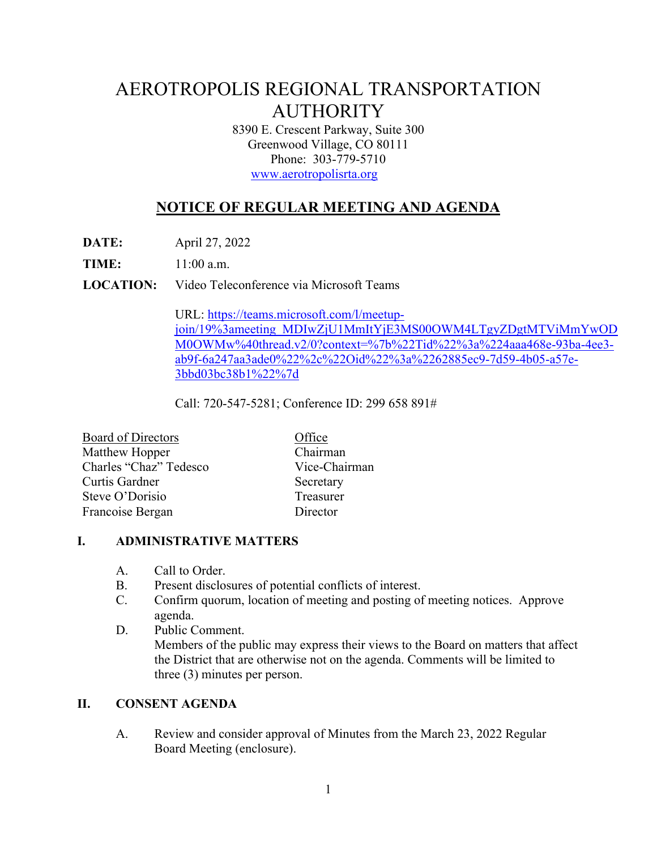# AEROTROPOLIS REGIONAL TRANSPORTATION AUTHORITY

8390 E. Crescent Parkway, Suite 300 Greenwood Village, CO 80111 Phone: 303-779-5710 www.aerotropolisrta.org

## **NOTICE OF REGULAR MEETING AND AGENDA**

**DATE:** April 27, 2022

**TIME:** 11:00 a.m.

**LOCATION:** Video Teleconference via Microsoft Teams

URL: https://teams.microsoft.com/l/meetupjoin/19%3ameeting\_MDIwZjU1MmItYjE3MS00OWM4LTgyZDgtMTViMmYwOD M0OWMw%40thread.v2/0?context=%7b%22Tid%22%3a%224aaa468e-93ba-4ee3 ab9f-6a247aa3ade0%22%2c%22Oid%22%3a%2262885ec9-7d59-4b05-a57e-3bbd03bc38b1%22%7d

Call: 720-547-5281; Conference ID: 299 658 891#

| Board of Directors     | Office        |
|------------------------|---------------|
| Matthew Hopper         | Chairman      |
| Charles "Chaz" Tedesco | Vice-Chairman |
| Curtis Gardner         | Secretary     |
| Steve O'Dorisio        | Treasurer     |
| Francoise Bergan       | Director      |

#### **I. ADMINISTRATIVE MATTERS**

- A. Call to Order.
- B. Present disclosures of potential conflicts of interest.
- C. Confirm quorum, location of meeting and posting of meeting notices. Approve agenda.
- D. Public Comment. Members of the public may express their views to the Board on matters that affect the District that are otherwise not on the agenda. Comments will be limited to three (3) minutes per person.

#### **II. CONSENT AGENDA**

A. Review and consider approval of Minutes from the March 23, 2022 Regular Board Meeting (enclosure).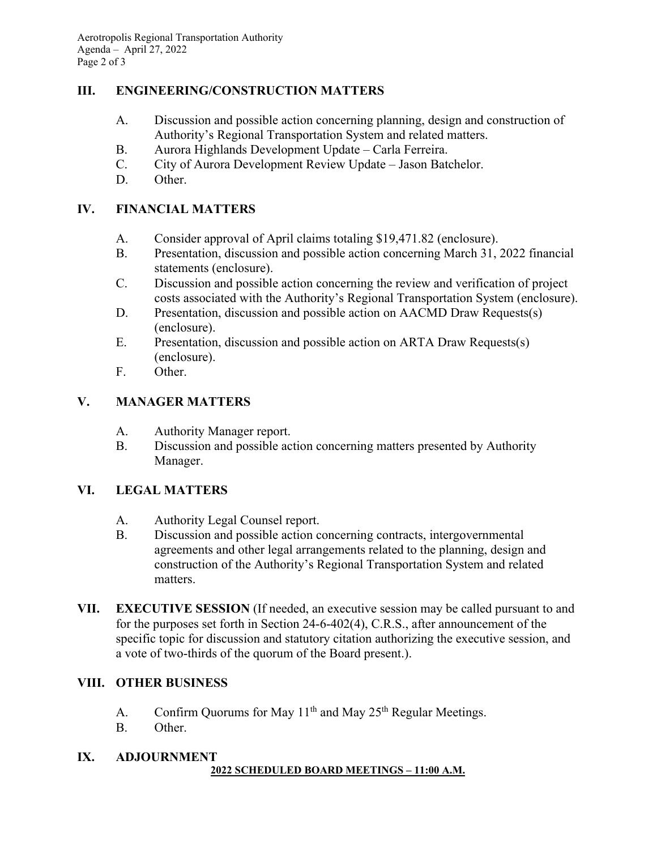#### **III. ENGINEERING/CONSTRUCTION MATTERS**

- A. Discussion and possible action concerning planning, design and construction of Authority's Regional Transportation System and related matters.
- B. Aurora Highlands Development Update Carla Ferreira.
- C. City of Aurora Development Review Update Jason Batchelor.
- D. Other.

#### **IV. FINANCIAL MATTERS**

- A. Consider approval of April claims totaling \$19,471.82 (enclosure).
- B. Presentation, discussion and possible action concerning March 31, 2022 financial statements (enclosure).
- C. Discussion and possible action concerning the review and verification of project costs associated with the Authority's Regional Transportation System (enclosure).
- D. Presentation, discussion and possible action on AACMD Draw Requests(s) (enclosure).
- E. Presentation, discussion and possible action on ARTA Draw Requests(s) (enclosure).
- F. Other.

### **V. MANAGER MATTERS**

- A. Authority Manager report.
- B. Discussion and possible action concerning matters presented by Authority Manager.

### **VI. LEGAL MATTERS**

- A. Authority Legal Counsel report.
- B. Discussion and possible action concerning contracts, intergovernmental agreements and other legal arrangements related to the planning, design and construction of the Authority's Regional Transportation System and related matters.
- **VII. EXECUTIVE SESSION** (If needed, an executive session may be called pursuant to and for the purposes set forth in Section 24-6-402(4), C.R.S., after announcement of the specific topic for discussion and statutory citation authorizing the executive session, and a vote of two-thirds of the quorum of the Board present.).

#### **VIII. OTHER BUSINESS**

- A. Confirm Quorums for May  $11<sup>th</sup>$  and May  $25<sup>th</sup>$  Regular Meetings.
- B. Other.

#### **IX. ADJOURNMENT 2022 SCHEDULED BOARD MEETINGS – 11:00 A.M.**